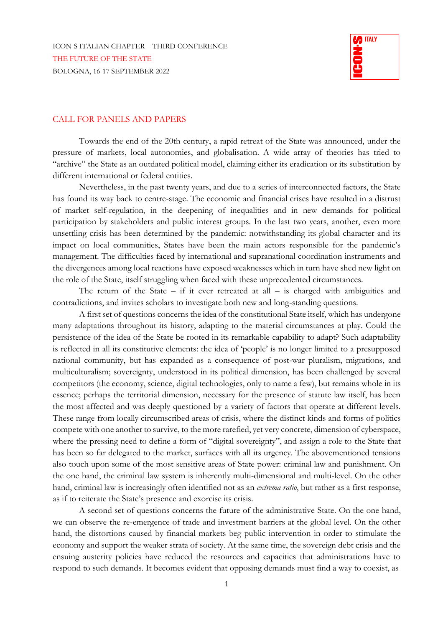

## CALL FOR PANELS AND PAPERS

Towards the end of the 20th century, a rapid retreat of the State was announced, under the pressure of markets, local autonomies, and globalisation. A wide array of theories has tried to "archive" the State as an outdated political model, claiming either its eradication or its substitution by different international or federal entities.

Nevertheless, in the past twenty years, and due to a series of interconnected factors, the State has found its way back to centre-stage. The economic and financial crises have resulted in a distrust of market self-regulation, in the deepening of inequalities and in new demands for political participation by stakeholders and public interest groups. In the last two years, another, even more unsettling crisis has been determined by the pandemic: notwithstanding its global character and its impact on local communities, States have been the main actors responsible for the pandemic's management. The difficulties faced by international and supranational coordination instruments and the divergences among local reactions have exposed weaknesses which in turn have shed new light on the role of the State, itself struggling when faced with these unprecedented circumstances.

The return of the State  $-$  if it ever retreated at all  $-$  is charged with ambiguities and contradictions, and invites scholars to investigate both new and long-standing questions.

A first set of questions concerns the idea of the constitutional State itself, which has undergone many adaptations throughout its history, adapting to the material circumstances at play. Could the persistence of the idea of the State be rooted in its remarkable capability to adapt? Such adaptability is reflected in all its constitutive elements: the idea of 'people' is no longer limited to a presupposed national community, but has expanded as a consequence of post-war pluralism, migrations, and multiculturalism; sovereignty, understood in its political dimension, has been challenged by several competitors (the economy, science, digital technologies, only to name a few), but remains whole in its essence; perhaps the territorial dimension, necessary for the presence of statute law itself, has been the most affected and was deeply questioned by a variety of factors that operate at different levels. These range from locally circumscribed areas of crisis, where the distinct kinds and forms of politics compete with one another to survive, to the more rarefied, yet very concrete, dimension of cyberspace, where the pressing need to define a form of "digital sovereignty", and assign a role to the State that has been so far delegated to the market, surfaces with all its urgency. The abovementioned tensions also touch upon some of the most sensitive areas of State power: criminal law and punishment. On the one hand, the criminal law system is inherently multi-dimensional and multi-level. On the other hand, criminal law is increasingly often identified not as an *extrema ratio*, but rather as a first response, as if to reiterate the State's presence and exorcise its crisis.

A second set of questions concerns the future of the administrative State. On the one hand, we can observe the re-emergence of trade and investment barriers at the global level. On the other hand, the distortions caused by financial markets beg public intervention in order to stimulate the economy and support the weaker strata of society. At the same time, the sovereign debt crisis and the ensuing austerity policies have reduced the resources and capacities that administrations have to respond to such demands. It becomes evident that opposing demands must find a way to coexist, as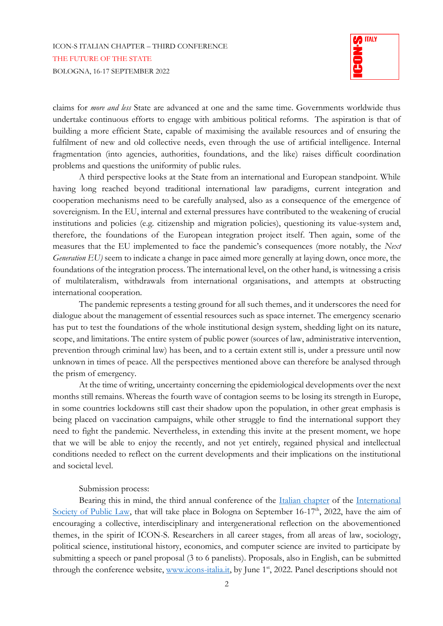## ICON-S ITALIAN CHAPTER – THIRD CONFERENCE THE FUTURE OF THE STATE BOLOGNA, 16-17 SEPTEMBER 2022



claims for *more and less* State are advanced at one and the same time. Governments worldwide thus undertake continuous efforts to engage with ambitious political reforms. The aspiration is that of building a more efficient State, capable of maximising the available resources and of ensuring the fulfilment of new and old collective needs, even through the use of artificial intelligence. Internal fragmentation (into agencies, authorities, foundations, and the like) raises difficult coordination problems and questions the uniformity of public rules.

A third perspective looks at the State from an international and European standpoint. While having long reached beyond traditional international law paradigms, current integration and cooperation mechanisms need to be carefully analysed, also as a consequence of the emergence of sovereignism. In the EU, internal and external pressures have contributed to the weakening of crucial institutions and policies (e.g. citizenship and migration policies), questioning its value-system and, therefore, the foundations of the European integration project itself. Then again, some of the measures that the EU implemented to face the pandemic's consequences (more notably, the *Next Generation EU)* seem to indicate a change in pace aimed more generally at laying down, once more, the foundations of the integration process. The international level, on the other hand, is witnessing a crisis of multilateralism, withdrawals from international organisations, and attempts at obstructing international cooperation.

The pandemic represents a testing ground for all such themes, and it underscores the need for dialogue about the management of essential resources such as space internet. The emergency scenario has put to test the foundations of the whole institutional design system, shedding light on its nature, scope, and limitations. The entire system of public power (sources of law, administrative intervention, prevention through criminal law) has been, and to a certain extent still is, under a pressure until now unknown in times of peace. All the perspectives mentioned above can therefore be analysed through the prism of emergency.

At the time of writing, uncertainty concerning the epidemiological developments over the next months still remains. Whereas the fourth wave of contagion seems to be losing its strength in Europe, in some countries lockdowns still cast their shadow upon the population, in other great emphasis is being placed on vaccination campaigns, while other struggle to find the international support they need to fight the pandemic. Nevertheless, in extending this invite at the present moment, we hope that we will be able to enjoy the recently, and not yet entirely, regained physical and intellectual conditions needed to reflect on the current developments and their implications on the institutional and societal level.

## Submission process:

Bearing this in mind, the third annual conference of the [Italian chapter](https://www.icon-society.org/chapters/italy/) of the International [Society of Public Law,](http://www.icon-society.org/) that will take place in Bologna on September  $16-17<sup>th</sup>$ , 2022, have the aim of encouraging a collective, interdisciplinary and intergenerational reflection on the abovementioned themes, in the spirit of ICON-S. Researchers in all career stages, from all areas of law, sociology, political science, institutional history, economics, and computer science are invited to participate by submitting a speech or panel proposal (3 to 6 panelists). Proposals, also in English, can be submitted through the conference website, [www.icons-italia.it,](https://www.icons-italia.it/) by June 1<sup>st</sup>, 2022. Panel descriptions should not